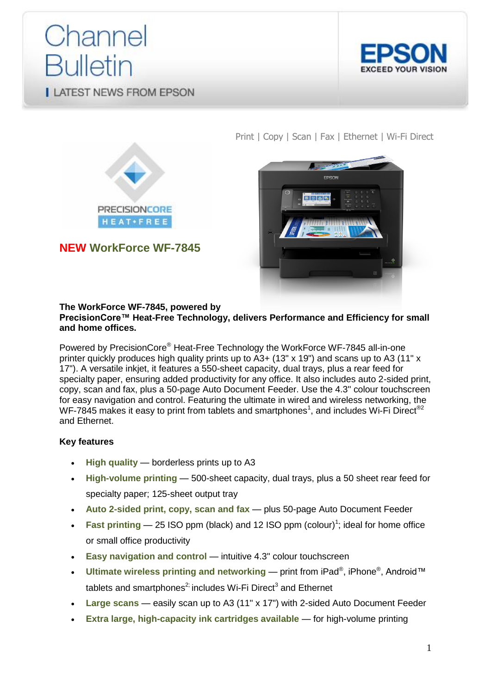# Channel **Bulletin I LATEST NEWS FROM EPSON**





Print | Copy | Scan | Fax | Ethernet | Wi-Fi Direct



**NEW WorkForce WF-7845**

## **The WorkForce WF-7845, powered by**

## **PrecisionCore™ Heat-Free Technology, delivers Performance and Efficiency for small and home offices.**

Powered by PrecisionCore® Heat-Free Technology the WorkForce WF-7845 all-in-one printer quickly produces high quality prints up to A3+ (13" x 19") and scans up to A3 (11" x 17"). A versatile inkjet, it features a 550-sheet capacity, dual trays, plus a rear feed for specialty paper, ensuring added productivity for any office. It also includes auto 2-sided print, copy, scan and fax, plus a 50-page Auto Document Feeder. Use the 4.3" colour touchscreen for easy navigation and control. Featuring the ultimate in wired and wireless networking, the WF-7845 makes it easy to print from tablets and smartphones<sup>1</sup>, and includes Wi-Fi Direct®<sup>2</sup> and Ethernet.

# **Key features**

- **High quality**  borderless prints up to A3
- **High-volume printing** 500-sheet capacity, dual trays, plus a 50 sheet rear feed for specialty paper; 125-sheet output tray
- **Auto 2-sided print, copy, scan and fax** plus 50-page Auto Document Feeder
- **Fast printing**  $-$  25 ISO ppm (black) and 12 ISO ppm (colour)<sup>1</sup>; ideal for home office or small office productivity
- **Easy navigation and control** intuitive 4.3" colour touchscreen
- Ultimate wireless printing and networking print from iPad<sup>®</sup>, iPhone<sup>®</sup>, Android™ tablets and smartphones<sup>2;</sup> includes Wi-Fi Direct<sup>3</sup> and Ethernet
- **Large scans** easily scan up to A3 (11" x 17") with 2-sided Auto Document Feeder
- **Extra large, high-capacity ink cartridges available** for high-volume printing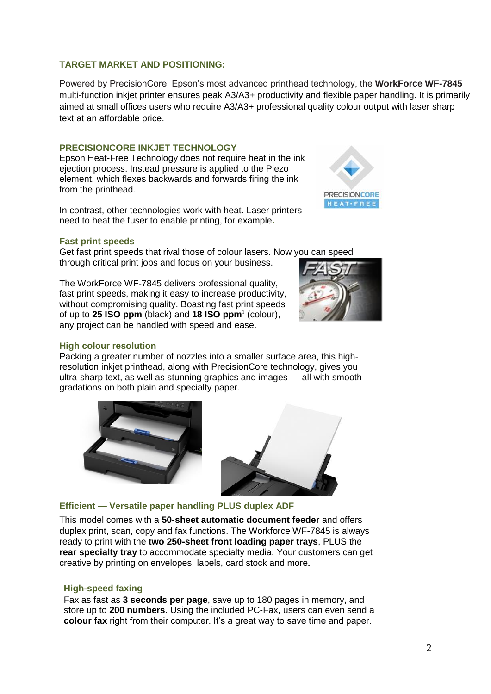# **TARGET MARKET AND POSITIONING:**

Powered by PrecisionCore, Epson's most advanced printhead technology, the **WorkForce WF-7845** multi-function inkjet printer ensures peak A3/A3+ productivity and flexible paper handling. It is primarily aimed at small offices users who require A3/A3+ professional quality colour output with laser sharp text at an affordable price.

### **PRECISIONCORE INKJET TECHNOLOGY**

Epson Heat-Free Technology does not require heat in the ink ejection process. Instead pressure is applied to the Piezo element, which flexes backwards and forwards firing the ink from the printhead.

In contrast, other technologies work with heat. Laser printers need to heat the fuser to enable printing, for example**.**

#### **Fast print speeds**

Get fast print speeds that rival those of colour lasers. Now you can speed through critical print jobs and focus on your business.

The WorkForce WF-7845 delivers professional quality, fast print speeds, making it easy to increase productivity, without compromising quality. Boasting fast print speeds of up to **25 ISO ppm** (black) and **18 ISO ppm**<sup>1</sup> (colour), any project can be handled with speed and ease.

## **High colour resolution**

Packing a greater number of nozzles into a smaller surface area, this highresolution inkjet printhead, along with PrecisionCore technology, gives you ultra-sharp text, as well as stunning graphics and images — all with smooth gradations on both plain and specialty paper.





#### **Efficient — Versatile paper handling PLUS duplex ADF**

This model comes with a **50-sheet automatic document feeder** and offers duplex print, scan, copy and fax functions. The Workforce WF-7845 is always ready to print with the **two 250-sheet front loading paper trays**, PLUS the **rear specialty tray** to accommodate specialty media. Your customers can get creative by printing on envelopes, labels, card stock and more

#### **High-speed faxing**

Fax as fast as **3 seconds per page**, save up to 180 pages in memory, and store up to **200 numbers**. Using the included PC-Fax, users can even send a **colour fax** right from their computer. It's a great way to save time and paper.



**PRECISIONCORE** HEAT.FREE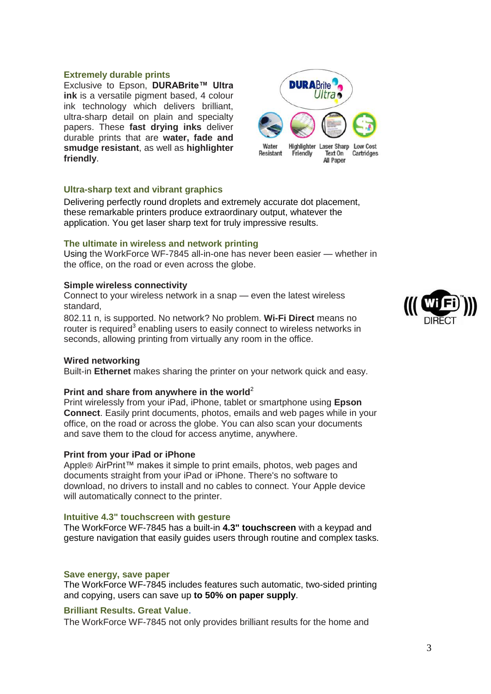#### **Extremely durable prints**

Exclusive to Epson, **DURABrite™ Ultra ink** is a versatile pigment based, 4 colour ink technology which delivers brilliant, ultra-sharp detail on plain and specialty papers. These **fast drying inks** deliver durable prints that are **water, fade and smudge resistant**, as well as **highlighter friendly**.



#### **Ultra-sharp text and vibrant graphics**

Delivering perfectly round droplets and extremely accurate dot placement, these remarkable printers produce extraordinary output, whatever the application. You get laser sharp text for truly impressive results.

#### **The ultimate in wireless and network printing**

Using the WorkForce WF-7845 all-in-one has never been easier — whether in the office, on the road or even across the globe.

#### **Simple wireless connectivity**

Connect to your wireless network in a snap — even the latest wireless standard,

802.11 n, is supported. No network? No problem. **Wi-Fi Direct** means no router is required<sup>3</sup> enabling users to easily connect to wireless networks in seconds, allowing printing from virtually any room in the office.

#### **Wired networking**

Built-in **Ethernet** makes sharing the printer on your network quick and easy.

#### **Print and share from anywhere in the world**<sup>2</sup>

Print wirelessly from your iPad, iPhone, tablet or smartphone using **Epson Connect**. Easily print documents, photos, emails and web pages while in your office, on the road or across the globe. You can also scan your documents and save them to the cloud for access anytime, anywhere.

#### **Print from your iPad or iPhone**

Apple® AirPrint™ makes it simple to print emails, photos, web pages and documents straight from your iPad or iPhone. There's no software to download, no drivers to install and no cables to connect. Your Apple device will automatically connect to the printer.

#### **Intuitive 4.3" touchscreen with gesture**

The WorkForce WF-7845 has a built-in **4.3" touchscreen** with a keypad and gesture navigation that easily guides users through routine and complex tasks.

#### **Save energy, save paper**

The WorkForce WF-7845 includes features such automatic, two-sided printing and copying, users can save up **to 50% on paper supply**.

#### **Brilliant Results. Great Value**.

The WorkForce WF-7845 not only provides brilliant results for the home and

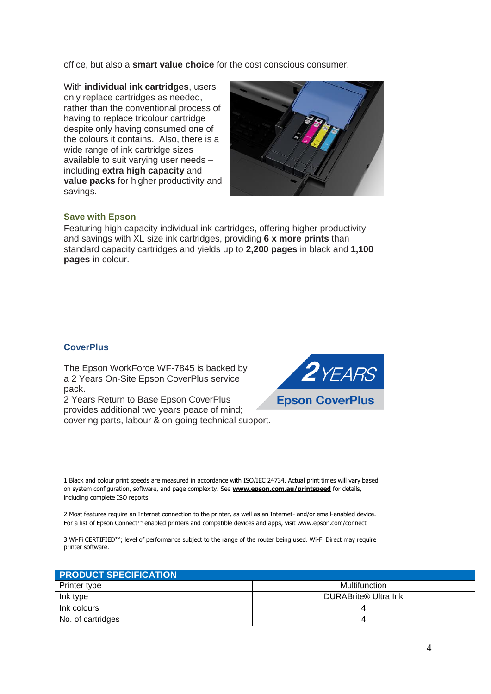office, but also a **smart value choice** for the cost conscious consumer.

With **individual ink cartridges**, users only replace cartridges as needed, rather than the conventional process of having to replace tricolour cartridge despite only having consumed one of the colours it contains. Also, there is a wide range of ink cartridge sizes available to suit varying user needs – including **extra high capacity** and **value packs** for higher productivity and savings.



#### **Save with Epson**

Featuring high capacity individual ink cartridges, offering higher productivity and savings with XL size ink cartridges, providing **6 x more prints** than standard capacity cartridges and yields up to **2,200 pages** in black and **1,100 pages** in colour.

#### **CoverPlus**

The Epson WorkForce WF-7845 is backed by a 2 Years On-Site Epson CoverPlus service pack.

 $2$ YEARS **Epson CoverPlus** 

2 Years Return to Base Epson CoverPlus provides additional two years peace of mind; covering parts, labour & on-going technical support.

1 Black and colour print speeds are measured in accordance with ISO/IEC 24734. Actual print times will vary based on system configuration, software, and page complexity. See **[www.epson.com.au/printspeed](http://www.epson.com.au/printspeed/)** for details, including complete ISO reports.

2 Most features require an Internet connection to the printer, as well as an Internet- and/or email-enabled device. For a list of Epson Connect™ enabled printers and compatible devices and apps, visit www.epson.com/connect

3 Wi-Fi CERTIFIED™; level of performance subject to the range of the router being used. Wi-Fi Direct may require printer software.

| <b>PRODUCT SPECIFICATION</b> |                      |
|------------------------------|----------------------|
| Printer type                 | Multifunction        |
| Ink type                     | DURABrite® Ultra Ink |
| Ink colours                  |                      |
| No. of cartridges            |                      |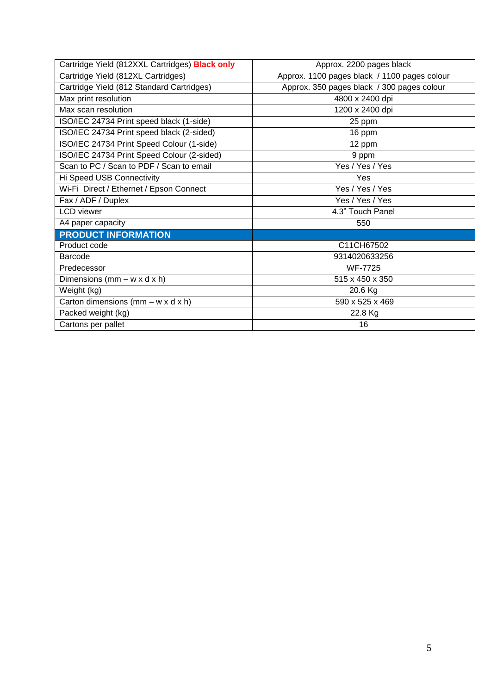| Cartridge Yield (812XXL Cartridges) Black only | Approx. 2200 pages black                     |  |
|------------------------------------------------|----------------------------------------------|--|
| Cartridge Yield (812XL Cartridges)             | Approx. 1100 pages black / 1100 pages colour |  |
| Cartridge Yield (812 Standard Cartridges)      | Approx. 350 pages black / 300 pages colour   |  |
| Max print resolution                           | 4800 x 2400 dpi                              |  |
| Max scan resolution                            | 1200 x 2400 dpi                              |  |
| ISO/IEC 24734 Print speed black (1-side)       | 25 ppm                                       |  |
| ISO/IEC 24734 Print speed black (2-sided)      | 16 ppm                                       |  |
| ISO/IEC 24734 Print Speed Colour (1-side)      | 12 ppm                                       |  |
| ISO/IEC 24734 Print Speed Colour (2-sided)     | 9 ppm                                        |  |
| Scan to PC / Scan to PDF / Scan to email       | Yes / Yes / Yes                              |  |
| Hi Speed USB Connectivity                      | Yes                                          |  |
| Wi-Fi Direct / Ethernet / Epson Connect        | Yes / Yes / Yes                              |  |
| Fax / ADF / Duplex                             | Yes / Yes / Yes                              |  |
| <b>LCD</b> viewer                              | 4.3" Touch Panel                             |  |
| A4 paper capacity                              | 550                                          |  |
| <b>PRODUCT INFORMATION</b>                     |                                              |  |
| Product code                                   | C11CH67502                                   |  |
| <b>Barcode</b>                                 | 9314020633256                                |  |
| Predecessor                                    | WF-7725                                      |  |
| Dimensions (mm $- w x d x h$ )                 | 515 x 450 x 350                              |  |
| Weight (kg)                                    | 20.6 Kg                                      |  |
| Carton dimensions (mm $- w x d x h$ )          | 590 x 525 x 469                              |  |
| Packed weight (kg)                             | 22.8 Kg                                      |  |
| Cartons per pallet                             | 16                                           |  |